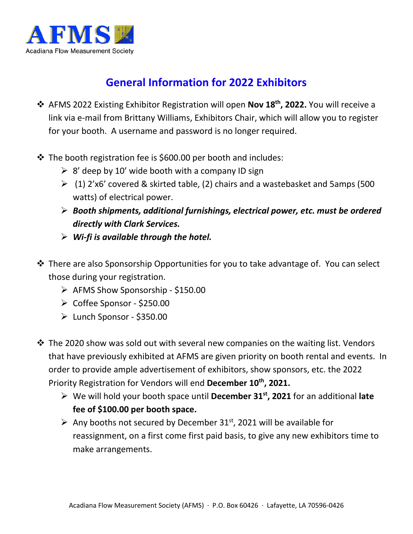

## **General Information for 2022 Exhibitors**

- AFMS 2022 Existing Exhibitor Registration will open **Nov 18th, 2022.** You will receive a link via e-mail from Brittany Williams, Exhibitors Chair, which will allow you to register for your booth. A username and password is no longer required.
- The booth registration fee is \$600.00 per booth and includes:
	- $\geq 8'$  deep by 10' wide booth with a company ID sign
	- $(1)$  2'x6' covered & skirted table, (2) chairs and a wastebasket and 5amps (500 watts) of electrical power.
	- *Booth shipments, additional furnishings, electrical power, etc. must be ordered directly with Clark Services.*
	- *Wi-fi is available through the hotel.*
- $\cdot$  There are also Sponsorship Opportunities for you to take advantage of. You can select those during your registration.
	- $\triangleright$  AFMS Show Sponsorship \$150.00
	- Coffee Sponsor \$250.00
	- $\blacktriangleright$  Lunch Sponsor \$350.00
- $\triangle$  The 2020 show was sold out with several new companies on the waiting list. Vendors that have previously exhibited at AFMS are given priority on booth rental and events. In order to provide ample advertisement of exhibitors, show sponsors, etc. the 2022 Priority Registration for Vendors will end **December 10th, 2021.**
	- We will hold your booth space until **December 31st, 2021** for an additional **late fee of \$100.00 per booth space.**
	- $\triangleright$  Any booths not secured by December 31<sup>st</sup>, 2021 will be available for reassignment, on a first come first paid basis, to give any new exhibitors time to make arrangements.